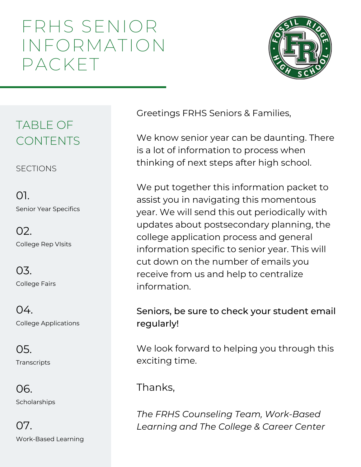# FRHS SENIOR INFORMATION PACKET



#### TABLE OF CONTENTS

**SECTIONS** 

Senior Year Specifics 01.

College Rep VIsits 02.

College Fairs 03.

College Applications  $04.$ 

**Transcripts** 05.

**Scholarships** 06.

Work-Based Learning 07.

Greetings FRHS Seniors & Families,

We know senior year can be daunting. There is a lot of information to process when thinking of next steps after high school.

We put together this information packet to assist you in navigating this momentous year. We will send this out periodically with updates about postsecondary planning, the college application process and general information specific to senior year. This will cut down on the number of emails you receive from us and help to centralize information.

Seniors, be sure to check your student email regularly!

We look forward to helping you through this exciting time.

Thanks,

*The FRHS Counseling Team, Work-Based Learning and The College & Career Center*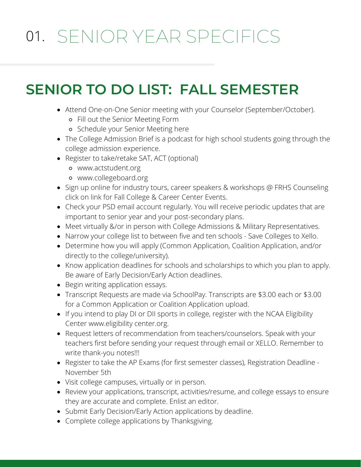# 01. SENIOR YEAR SPECIFICS

## **SENIOR TO DO LIST: FALL SEMESTER**

- Attend One-on-One Senior meeting with your Counselor (September/October).
	- Fill out the [Senior Meeting Form](https://docs.google.com/forms/d/e/1FAIpQLSf-c5ZyzMjLUylMw7Kv7D9hP9LWpxxwZRCKOxZVeeaqIf5CTA/viewform?usp=sf_link)
	- o Schedule your Senior Meeting [here](https://nam12.safelinks.protection.outlook.com/?url=https%3A%2F%2Foutlook.office365.com%2Fowa%2Fcalendar%2FFossilRidgeCounselingDepartment%40poudreschools.onmicrosoft.com%2Fbookings%2F&data=04%7C01%7Cmmurphy%40psdschools.org%7Ca19c4d068cf143e684fc08d966689d99%7C0d6d846ceadd4b6cb03ef15cd4b7e9cf%7C0%7C0%7C637653421770854391%7CUnknown%7CTWFpbGZsb3d8eyJWIjoiMC4wLjAwMDAiLCJQIjoiV2luMzIiLCJBTiI6Ik1haWwiLCJXVCI6Mn0%3D%7C1000&sdata=GwM81BrRDflZpXUaQAarsjWsLfAKVsv9sB%2Fht0xjGv8%3D&reserved=0)
- [The College Admission Brief](https://open.spotify.com/show/5fW0dBHpp6heHlVQ6sQNvs) is a podcast for high school students going through the college admission experience.
- Register to take/retake SAT, ACT (optional)
	- [www.actstudent.org](http://www.actstudent.org/)
	- [www.collegeboard.org](http://www.collegeboard.org/)
- Sign up online for industry tours, career speakers & workshops @ [FRHS Counseling](http://www.frhscounseling.org/) click on link for Fall College & Career Center Events.
- Check your PSD email account regularly. You will receive periodic updates that are important to senior year and your post-secondary plans.
- Meet virtually &/or in person with College Admissions & Military Representatives.
- Narrow your college list to between five and ten schools [Save Colleges to Xello.](https://clever.com/oauth/authorize?channel=clever-portal&client_id=cd02c50c226bf3327b95&confirmed=true&district_id=5668507df1611e01000000e9&redirect_uri=https%3A%2F%2Fauth.xello.world%2Fclever&response_type=code)
- Determine how you will apply ([Common Application](https://www.commonapp.org/), Coalition Application, and/or directly to the college/university).
- Know application deadlines for schools and scholarships to which you plan to apply. Be aware of Early Decision/Early Action deadlines.
- Begin writing application essays.
- [Transcript Requests](https://docs.google.com/document/d/1FWJItj2VogYsyPMBOx9xtLtdS3Eh2H0YkOX6wQUbyDc/edit) are made via SchoolPay. Transcripts are \$3.00 each or \$3.00 for a Common Application or Coalition Application upload.
- If you intend to play DI or DII sports in college, register with the NCAA Eligibility Center [www.eligibility center.org.](http://www.eligibilitycenter.org/)
- [Request letters of recommendation from teachers/counselors](https://drive.google.com/file/d/0B31vQ2p-KCemaGZIX1BYLWRhZjg/view?usp=sharing). Speak with your teachers first before sending your request through email or XELLO. Remember to write thank-you notes!!!
- Register to take the AP Exams (for first semester classes), Registration Deadline November 5th
- Visit college campuses, virtually or in person.
- Review your applications, transcript, activities/resume, and college essays to ensure they are accurate and complete. Enlist an editor.
- Submit Early Decision/Early Action applications by deadline.
- Complete college applications by Thanksgiving.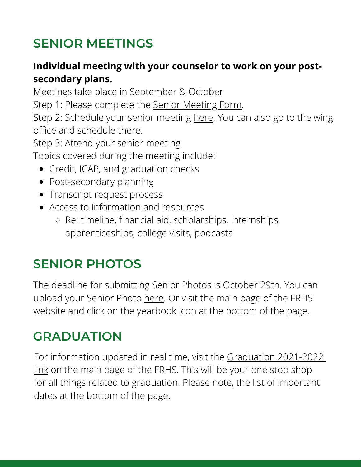#### **SENIOR MEETINGS**

#### **Individual meeting with your counselor to work on your postsecondary plans.**

Meetings take place in September & October

Step 1: Please complete the Senior [Meeting](https://docs.google.com/forms/d/e/1FAIpQLSf-c5ZyzMjLUylMw7Kv7D9hP9LWpxxwZRCKOxZVeeaqIf5CTA/viewform) Form.

Step 2: Schedule your senior meeting [here.](https://outlook.office365.com/owa/calendar/FossilRidgeCounselingDepartment@poudreschools.onmicrosoft.com/bookings/) You can also go to the wing office and schedule there.

Step 3: Attend your senior meeting

Topics covered during the meeting include:

- Credit, ICAP, and graduation checks
- Post-secondary planning
- [Transcript](https://docs.google.com/document/d/1FWJItj2VogYsyPMBOx9xtLtdS3Eh2H0YkOX6wQUbyDc/edit) reque[s](https://docs.google.com/document/d/1FWJItj2VogYsyPMBOx9xtLtdS3Eh2H0YkOX6wQUbyDc/edit)t process
- Access to [information](https://www.frhscounseling.org/senior-meetings.html) and resource[s](https://www.frhscounseling.org/senior-meetings.html)
	- Re: [timeline](https://docs.google.com/document/d/1WFNi4q2GvjZFOBm6aiijj4qamaIGoyvqENhD56QWprk/edit), financial aid, scholarships, internships, apprenticeships, college visits, [podcasts](https://admission.gatech.edu/college-admission-brief-podcast)

#### **SENIOR PHOTOS**

The deadline for submitting Senior Photos is October 29th. You can upload your Senior Photo [here.](https://images.jostens.com/login.jsp?errorMessage=Please%20Log%20In) Or visit the main page of the FRHS website and click on the yearbook icon at the bottom of the page.

#### **GRADUATION**

For information updated in real time, visit the [Graduation](https://frh.psdschools.org/graduation-2021-2022) 2021-202[2](https://frh.psdschools.org/graduation-2021-2022) [link](https://frh.psdschools.org/graduation-2021-2022) on the main page of the FRHS. This will be your one stop shop for all things related to graduation. Please note, the list of important dates at the bottom of the page.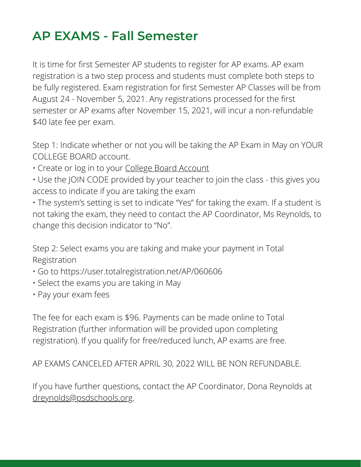#### **AP EXAMS - Fall Semester**

It is time for first Semester AP students to register for AP exams. AP exam registration is a two step process and students must complete both steps to be fully registered. Exam registration for first Semester AP Classes will be from August 24 - November 5, 2021. Any registrations processed for the first semester or AP exams after November 15, 2021, will incur a non-refundable \$40 late fee per exam.

Step 1: Indicate whether or not you will be taking the AP Exam in May on YOUR COLLEGE BOARD account.

- Create or log in to your College Board [Account](https://www.collegeboard.org/)
- Use the JOIN CODE provided by your teacher to join the class this gives you access to indicate if you are taking the exam

• The system's setting is set to indicate "Yes" for taking the exam. If a student is not taking the exam, they need to contact the AP Coordinator, Ms Reynolds, to change this decision indicator to "No".

Step 2: Select exams you are taking and make your payment in Total Registration

- Go to https://user.totalregistration.net/AP/060606
- Select the exams you are taking in May
- Pay your exam fees

The fee for each exam is \$96. Payments can be made online to Total Registration (further information will be provided upon completing registration). If you qualify for free/reduced lunch, AP exams are free.

AP EXAMS CANCELED AFTER APRIL 30, 2022 WILL BE NON REFUNDABLE.

If you have further questions, contact the AP Coordinator, Dona Reynolds at [dreynolds@psdschools.org.](mailto:dreynolds@psdschools.org)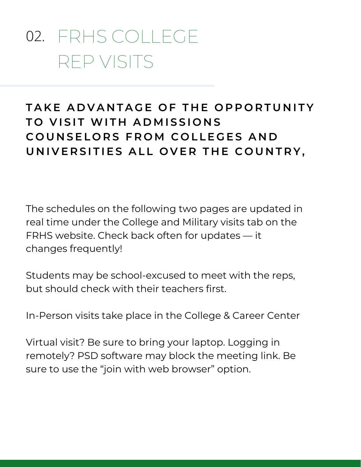# FRHS COLLEGE 02.REP VISITS

#### TAKE ADVANTAGE OF THE OPPORTUNITY  $TO$  **VISIT WITH ADMISSIONS**  $E$  **COUNSELORS FROM COLLEGES AND** UNIVERSITIES ALL OVER THE COUNTRY,

The schedules on the following two pages are updated in real time under the [College](https://docs.google.com/document/d/1yLAO5iLJ4VTThqRd5-AoyQwYyraj4FMitbQELAvvHVQ/edit) and Military visits tab on the FRHS website. Check back often for updates — it changes frequently!

Students may be school-excused to meet with the reps, but should check with their teachers first.

In-Person visits take place in the College & Career Center

Virtual visit? Be sure to bring your laptop. Logging in remotely? PSD software may block the meeting link. Be sure to use the "join with web browser" option.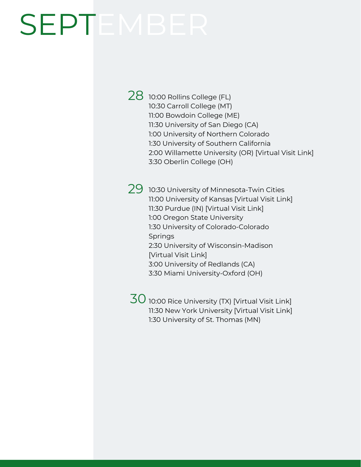# SEPTEMB

- $28$  10:00 Rollins College (FL) 10:30 Carroll College (MT) 11:00 Bowdoin College (ME) 11:30 University of San Diego (CA) 1:00 University of Northern Colorado 1:30 University of Southern California 2:00 Willamette University (OR) [[Virtual](https://willametteuniversity.zoom.us/j/98197289588) Visit Link] 3:30 Oberlin College (OH)
- $29\,$  10:30 University of Minnesota-Twin Cities 11:00 University of Kansas [[Virtual](https://kansas.zoom.us/j/7858643180) Visit Link] 11:30 Purdue (IN) [\[Virtual](https://purdue-edu.zoom.us/j/96391395632?pwd=S3U3bHJuV1lWZFJzcklKQ2UveW9xdz09) Visit Link] 1:00 Oregon State University 1:30 University of Colorado-Colorado Springs 2:30 University of Wisconsin-Madison [[Virtual](https://uwmadison.zoom.us/j/93255762814?pwd=MEpnU3ljWXRPNmVDbmphQnZYM2o3QT09) Visit Link] 3:00 University of Redlands (CA) 3:30 Miami University-Oxford (OH)

 $\overline{30}$  10:00 Rice University (TX) [\[Virtual](https://riceuniversity.zoom.us/j/96884828670?pwd=ZXRMMlZLbEpQbU1IUG8reFFQVnVMQT09) Visit Link] 11:30 New York University [[Virtual](https://nyu.zoom.us/j/99030500396) Visit Link] 1:30 University of St. Thomas (MN)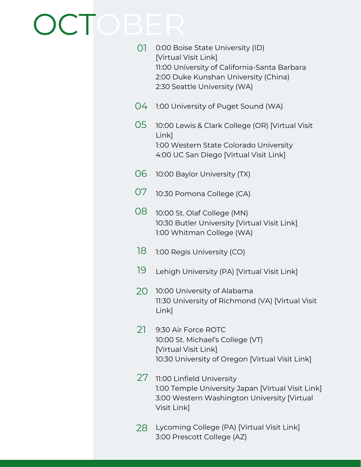# OCTOBER

| 01 | 0:00 Boise State University (ID)<br>[Virtual Visit Link]<br>11:00 University of California-Santa Barbara<br>2:00 Duke Kunshan University (China)<br>2:30 Seattle University (WA) |
|----|----------------------------------------------------------------------------------------------------------------------------------------------------------------------------------|
| 04 | 1:00 University of Puget Sound (WA)                                                                                                                                              |
| 05 | 10:00 Lewis & Clark College (OR) [Virtual Visit]<br>Link]<br>1:00 Western State Colorado University<br>4:00 UC San Diego [Virtual Visit Link]                                    |
| 06 | 10:00 Baylor University (TX)                                                                                                                                                     |
| 07 | 10:30 Pomona College (CA)                                                                                                                                                        |
| 80 | 10:00 St. Olaf College (MN)<br>10:30 Butler University [Virtual Visit Link]<br>1:00 Whitman College (WA)                                                                         |
| 18 | 1:00 Regis University (CO)                                                                                                                                                       |
| 19 | Lehigh University (PA) [Virtual Visit Link]                                                                                                                                      |
| 20 | 10:00 University of Alabama<br>11:30 University of Richmond (VA) [Virtual Visit<br>Link]                                                                                         |
| 21 | 9:30 Air Force ROTC<br>10:00 St. Michael's College (VT)<br>[Virtual Visit Link]<br>10:30 University of Oregon [Virtual Visit Link]                                               |
| 27 | 11:00 Linfield University<br>1:00 Temple University Japan [Virtual Visit Link]<br>3:00 Western Washington University [Virtual<br>Visit Link]                                     |
| 28 | Lycoming College (PA) [Virtual Visit Link]<br>3:00 Prescott College (AZ)                                                                                                         |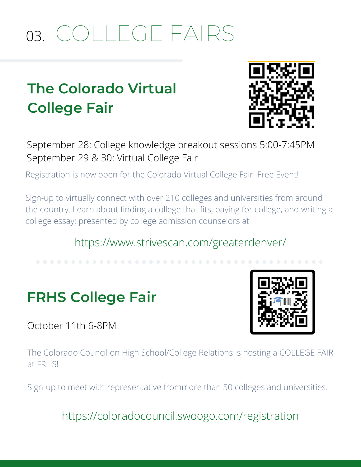# COLLEGE FAIRS 03.

# **The Colorado Virtual College Fair**



September 28: College knowledge breakout sessions 5:00-7:45PM September 29 & 30: Virtual College Fair

Registration is now open for the Colorado Virtual College Fair! Free Event!

Sign-up to virtually connect with over 210 colleges and universities from around the country. Learn about finding a college that fits, paying for college, and writing a college essay; presented by college admission counselors at

#### https://www.strivescan.com/greaterdenver/

## **FRHS College Fair**

October 11th 6-8PM



The Colorado Council on High School/College Relations is hosting a COLLEGE FAIR at FRHS!

Sign-up to meet with representative frommore than 50 colleges and universities.

https://coloradocouncil.swoogo.com/registration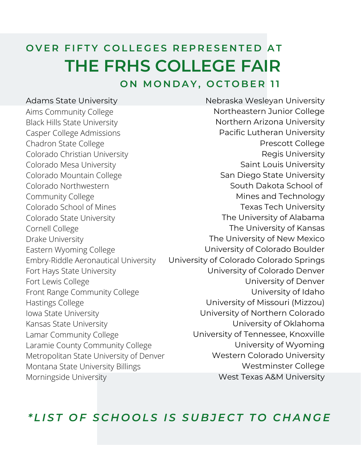# OVER FIFTY COLLEGES REPRESENTED AT **THE FRHS COLLEGE FAIR**

**O N M O N D A Y , O C T O B E R 11**

#### Adams State University

Aims Community College Black Hills State University Casper College Admissions Chadron State College Colorado Christian University Colorado Mesa University Colorado Mountain College Colorado Northwestern Community College Colorado School of Mines Colorado State University Cornell College Drake University Eastern Wyoming College Embry-Riddle Aeronautical University Fort Hays State University Fort Lewis College Front Range Community College Hastings College Iowa State University Kansas State University Lamar Community College Laramie County Community College Metropolitan State University of Denver Montana State University Billings Morningside University

Nebraska Wesleyan University Northeastern Junior College Northern Arizona University Pacific Lutheran University Prescott College Regis University Saint Louis University San Diego State University South Dakota School of Mines and Technology Texas Tech University The University of Alabama The University of Kansas The University of New Mexico University of Colorado Boulder University of Colorado Colorado Springs University of Colorado Denver University of Denver University of Idaho University of Missouri (Mizzou) University of Northern Colorado University of Oklahoma University of Tennessee, Knoxville University of Wyoming Western Colorado University Westminster College West Texas A&M University

#### \*LIST OF SCHOOLS IS SUBJECT TO CHANGE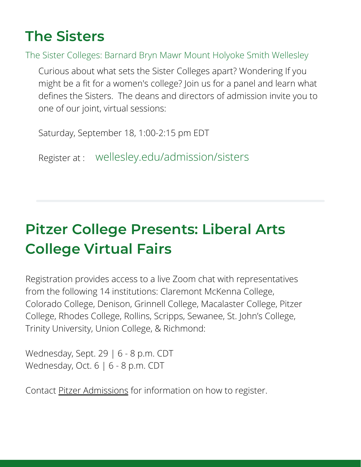## **The Sisters**

The Sister Colleges: Barnard Bryn Mawr Mount Holyoke Smith Wellesley

Curious about what sets the Sister Colleges apart? Wondering If you might be a fit for a women's college? Join us for a panel and learn what defines the Sisters. The deans and directors of admission invite you to one of our joint, virtual sessions:

Saturday, September 18, 1:00-2:15 pm EDT

Register at : wellesley.edu/admission/sisters

# **Pitzer College Presents: Liberal Arts College Virtual Fairs**

Registration provides access to a live Zoom chat with representatives from the following 14 institutions: Claremont McKenna College, Colorado College, Denison, Grinnell College, Macalaster College, Pitzer College, Rhodes College, Rollins, Scripps, Sewanee, St. John's College, Trinity University, Union College, & Richmond:

Wednesday, Sept. 29 | 6 - 8 p.m. CDT Wednesday, Oct. 6 | 6 - 8 p.m. CDT

Contact [Pitzer Admissions](https://www.pitzer.edu/admission/) for information on how to register.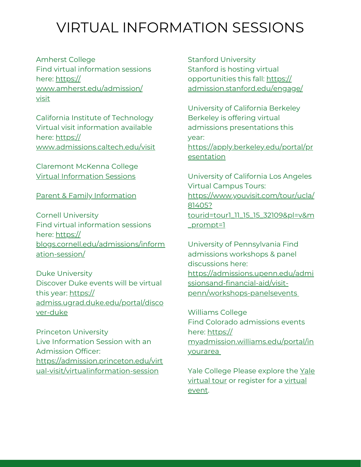### VIRTUAL INFORMATION SESSIONS

Amherst College Find virtual information sessions here: [https://](https://www.amherst.edu/admission/visit) [www.amherst.edu/admission/](https://www.amherst.edu/admission/visit) [visit](https://www.amherst.edu/admission/visit)

California Institute of Technology Virtual visit information available here: [https://](https://www.admissions.caltech.edu/visit) [www.admissions.caltech.edu/visit](https://www.admissions.caltech.edu/visit)

Claremont McKenna College Virtual [Information](https://connect.cmc.edu/portal/virtual_visit) Sessions

#### Parent & Family [Information](https://connect.cmc.edu/portal/parents)

Cornell University Find virtual information sessions here: [https://](https://blogs.cornell.edu/admissions/information-session/) [blogs.cornell.edu/admissions/inform](https://blogs.cornell.edu/admissions/information-session/) ation-session/

Duke University Discover Duke events will be virtual this year: [https://](https://admiss.ugrad.duke.edu/portal/discover-duke) [admiss.ugrad.duke.edu/portal/disco](https://admiss.ugrad.duke.edu/portal/discover-duke) ver-duke

Princeton University Live Information Session with an Admission Officer: [https://admission.princeton.edu/virt](https://admission.princeton.edu/virtual-visit/virtualinformation-session) ual-visit/virtualinformation-session

Stanford University Stanford is hosting virtual opportunities this fall: [https://](https://admission.stanford.edu/engage/) [admission.stanford.edu/engage/](https://admission.stanford.edu/engage/)

University of California Berkeley Berkeley is offering virtual admissions presentations this year: [https://apply.berkeley.edu/portal/pr](https://apply.berkeley.edu/portal/presentation)

esentation

University of California Los Angeles Virtual Campus Tours: [https://www.youvisit.com/tour/ucla/](https://www.youvisit.com/tour/ucla/81405?%20tourid=tour1_11_15_15_32109&pl=v&m_prompt=1) 81405? [tourid=tour1\\_11\\_15\\_15\\_32109&pl=v&m](https://www.youvisit.com/tour/ucla/81405?%20tourid=tour1_11_15_15_32109&pl=v&m_prompt=1) \_prompt=1

University of Pennsylvania Find admissions workshops & panel discussions here: [https://admissions.upenn.edu/admi](https://admissions.upenn.edu/admissionsand-financial-aid/visit-penn/workshops-panelsevents) ssionsand-financial-aid/visitpenn/workshops-panelsevent[s](https://admissions.upenn.edu/admissionsand-financial-aid/visit-penn/workshops-panelsevents)

Williams College Find Colorado admissions events here: https:// [myadmission.williams.edu/portal/in](https://myadmission.williams.edu/portal/inyourarea?id=efaa9368-f47f-482e-bc43-2b80d19629df) yourarea

Yale College Please explore the Yale virtual tour or [register](https://admissions.yale.edu/virtual-tour) for a virtual event.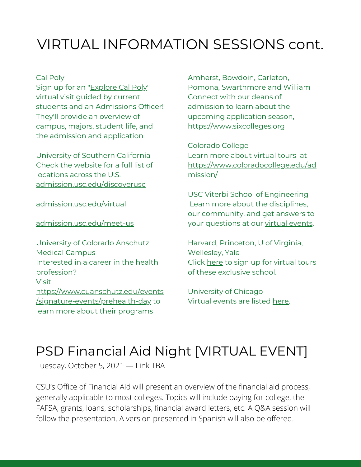## VIRTUAL INFORMATION SESSIONS cont.

#### Cal Poly

Sign up for an ["Explore](https://www.calpoly.edu/tours/virtual-tours) Cal Poly" virtual visit guided by current students and an Admissions Officer! They'll provide an overview of campus, majors, student life, and the admission and application

University of Southern California Check the website for a full list of locations across the U.S. [admission.usc.edu/discoverusc](https://admission.usc.edu/meet-us/discover-usc/)

[admission.usc.edu/virtual](https://admission.usc.edu/meet-us/virtual-tour-programs/)

[admission.usc.edu/meet-us](https://admission.usc.edu/meet-us/)

University of Colorado Anschutz Medical Campus Interested in a career in the health profession? Visit [https://www.cuanschutz.edu/events](https://www.cuanschutz.edu/events/signature-events/prehealth-day) /signature-events/prehealth-day to learn more about their programs

Amherst, Bowdoin, Carleton, Pomona, Swarthmore and William Connect with our deans of admission to learn about the upcoming application season, [https://www.sixcolleges.org](https://www.sixcolleges.org/counselors/rsvp/rsvp-student-events.html?utm_term=F22&utm_content=fallinv1domcouns&utm_source=sixcolleges&utm_medium=email&utm_campaign=admissions)

Colorado College Learn more about virtual tours at [https://www.coloradocollege.edu/ad](https://www.coloradocollege.edu/admission/for-students/explore-campus/virtual-opportunities/virtual-opportunities.html) mission/

USC Viterbi School of Engineering Learn more about the disciplines, our community, and get answers to your questions at our virtual [events](https://viterbiadmission.usc.edu/visit/).

Harvard, Princeton, U of Virginia, Wellesley, Yale Click [here](https://fch.psdschools.org/sites/fch/files/SITE_FILES/Career/Harvard%2C%20Princeton%2C%20UVA%2C%20Wellesley%20%26%20Yale%20Virtual%20Visits.pdf) to sign up for virtual tours of these exclusive school.

University of Chicago Virtual events are listed [here](https://fch.psdschools.org/sites/fch/files/SITE_FILES/Career/University%20of%20Chicago%20Virtual%20Events.pdf).

#### PSD Financial Aid Night [VIRTUAL EVENT]

Tuesday, October 5, 2021 — Link TBA

CSU's Office of Financial Aid will present an overview of the financial aid process, generally applicable to most colleges. Topics will include paying for college, the FAFSA, grants, loans, scholarships, financial award letters, etc. A Q&A session will follow the presentation. A version presented in Spanish will also be offered.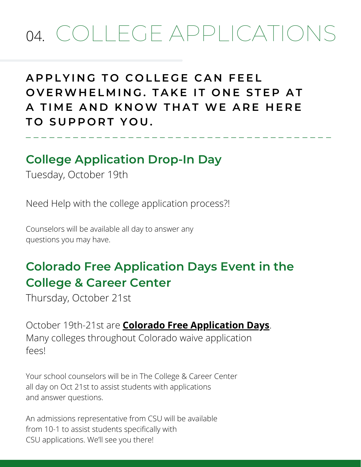# 04. COLLEGE APPLICATIONS

#### **A P P L Y I N G T O C O L L E G E C A N F E E L** OVERWHELMING, TAKE IT ONE STEP AT **A T I M E A N D K N OW T H A T WE A R E H E R E T O S U P P O R T Y O U .**

\_ \_ \_ \_ \_ \_ \_ \_ \_ \_ \_ \_ \_ \_ \_ \_ \_ \_ \_ \_ \_ \_ \_ \_ \_ \_ \_ \_ \_ \_ \_ \_ \_ \_ \_ \_ \_ \_ \_

#### **College Application Drop-In Day**

Tuesday, October 19th

Need Help with the college application process?!

Counselors will be available all day to answer any questions you may have.

#### **Colorado Free Application Days Event in the College & Career Center**

Thursday, October 21st

October 19th-21st are **Colorado Free [Application](https://cdhe.colorado.gov/sites/highered/files/Colorado%20Free%20Application%20Day%20Instructions_2021.pdf) Days**. Many colleges throughout Colorado waive application fees!

Your school counselors will be in The College & Career Center all day on Oct 21st to assist students with applications and answer questions.

An admissions representative from CSU will be available from 10-1 to assist students specifically with CSU applications. We'll see you there!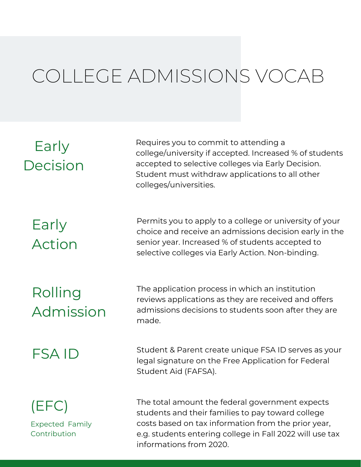# COLLEGE ADMISSIONS VOCAB

#### Early Decision

Requires you to commit to attending a college/university if accepted. Increased % of students accepted to selective colleges via Early Decision. Student must withdraw applications to all other colleges/universities.

## Early Action

Permits you to apply to a college or university of your choice and receive an admissions decision early in the senior year. Increased % of students accepted to selective colleges via Early Action. Non-binding.

# Rolling Admission

The application process in which an institution reviews applications as they are received and offers admissions decisions to students soon after they are made.

#### FSA ID

Student & Parent create unique FSA ID serves as your legal signature on the Free Application for Federal Student Aid (FAFSA).

# (EFC)

Expected Family Contribution

The total amount the federal government expects students and their families to pay toward college costs based on tax information from the prior year, e.g. students entering college in Fall 2022 will use tax informations from 2020.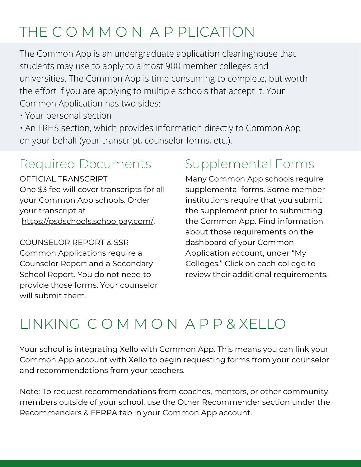## THE C O M M O N A P PLICATION

The Common App is an undergraduate application clearinghouse that students may use to apply to almost 900 member colleges and universities. The Common App is time consuming to complete, but worth the effort if you are applying to multiple schools that accept it. Your Common Application has two sides:

- Your personal section
- An FRHS section, which provides information directly to Common App on your behalf (your transcript, counselor forms, etc.).

#### Required Documents Supplemental Forms

OFFICIAL TRANSCRIPT One \$3 fee will cover transcripts for all your Common App schools. Order your transcript at [https://psdschools.schoolpay.com/.](https://psdschools.schoolpay.com/)

COUNSELOR REPORT & SSR Common Applications require a Counselor Report and a Secondary School Report. You do not need to provide those forms. Your counselor will submit them.

Many Common App schools require supplemental forms. Some member institutions require that you submit the supplement prior to submitting the Common App. Find information about those requirements on the dashboard of your Common Application account, under "My Colleges." Click on each college to review their additional requirements.

## LINKING C O M M O N A P P & XELLO

Your school is integrating Xello with Common App. This means you can link your Common App account with Xello to begin requesting forms from your counselor and recommendations from your teachers.

Note: To request recommendations from coaches, mentors, or other community members outside of your school, use the Other Recommender section under the Recommenders & FERPA tab in your Common App account.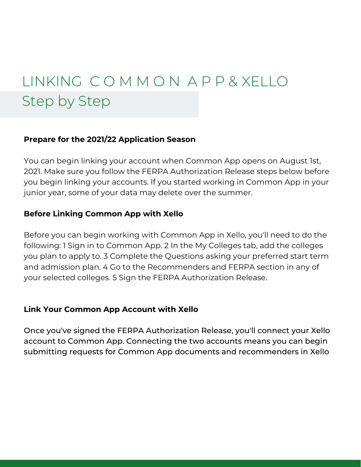# LINKING C O M M O N A P P & XELLO Step by Step

#### **Prepare for the 2021/22 Application Season**

You can begin linking your account when Common App opens on August 1st, 2021. Make sure you follow the FERPA Authorization Release steps below before you begin linking your accounts. If you started working in Common App in your junior year, some of your data may delete over the summer.

#### **Before Linking Common App with Xello**

Before you can begin working with Common App in Xello, you'll need to do the following: 1 Sign in to Common App. 2 In the My Colleges tab, add the colleges you plan to apply to. 3 Complete the Questions asking your preferred start term and admission plan. 4 Go to the Recommenders and FERPA section in any of your selected colleges. 5 Sign the FERPA Authorization Release.

#### **Link Your Common App Account with Xello**

Once you've signed the FERPA Authorization Release, you'll connect your Xello account to Common App. Connecting the two accounts means you can begin submitting requests for Common App documents and recommenders in Xello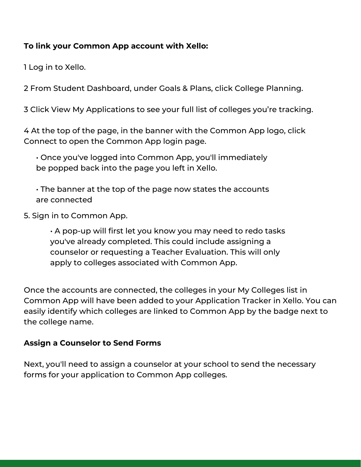#### **To link your Common App account with Xello:**

1 Log in to Xello.

2 From Student Dashboard, under Goals & Plans, click College Planning.

3 Click View My Applications to see your full list of colleges you're tracking.

4 At the top of the page, in the banner with the Common App logo, click Connect to open the Common App login page.

• Once you've logged into Common App, you'll immediately be popped back into the page you left in Xello.

• The banner at the top of the page now states the accounts are connected

5. Sign in to Common App.

• A pop-up will first let you know you may need to redo tasks you've already completed. This could include assigning a counselor or requesting a Teacher Evaluation. This will only apply to colleges associated with Common App.

Once the accounts are connected, the colleges in your My Colleges list in Common App will have been added to your Application Tracker in Xello. You can easily identify which colleges are linked to Common App by the badge next to the college name.

#### **Assign a Counselor to Send Forms**

Next, you'll need to assign a counselor at your school to send the necessary forms for your application to Common App colleges.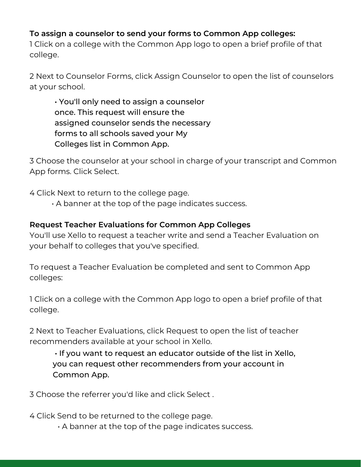#### **To assign a counselor to send your forms to Common App colleges:**

1 Click on a college with the Common App logo to open a brief profile of that college.

2 Next to Counselor Forms, click Assign Counselor to open the list of counselors at your school.

• You'll only need to assign a counselor once. This request will ensure the assigned counselor sends the necessary forms to all schools saved your My Colleges list in Common App.

3 Choose the counselor at your school in charge of your transcript and Common App forms. Click Select.

4 Click Next to return to the college page.

• A banner at the top of the page indicates success.

#### **Request Teacher Evaluations for Common App Colleges**

You'll use Xello to request a teacher write and send a Teacher Evaluation on your behalf to colleges that you've specified.

To request a Teacher Evaluation be completed and sent to Common App colleges:

1 Click on a college with the Common App logo to open a brief profile of that college.

2 Next to Teacher Evaluations, click Request to open the list of teacher recommenders available at your school in Xello.

• If you want to request an educator outside of the list in Xello, you can request other recommenders from your account in Common App.

3 Choose the referrer you'd like and click Select .

4 Click Send to be returned to the college page.

• A banner at the top of the page indicates success.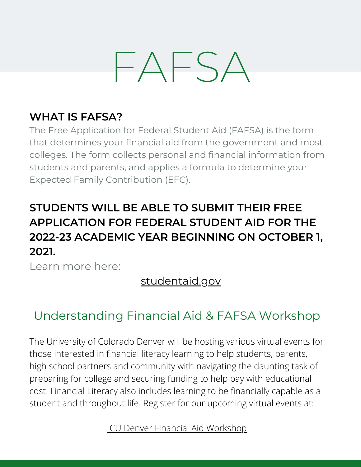# FAFSA

#### **WHAT IS FAFSA?**

The Free Application for Federal Student Aid (FAFSA) is the form that determines your financial aid from the government and most colleges. The form collects personal and financial information from students and parents, and applies a formula to determine your Expected Family Contribution (EFC).

#### **STUDENTS WILL BE ABLE TO SUBMIT THEIR FREE APPLICATION FOR FEDERAL STUDENT AID FOR THE 2022-23 ACADEMIC YEAR BEGINNING ON OCTOBER 1, 2021.**

Learn more here:

#### [studentaid.gov](https://studentaid.gov/h/apply-for-aid/fafsa)

#### [Understanding](https://application.admissions.ucdenver.edu/portal/financialaidliteracy?id=926bb253-fff8-4c75-9058-4307d3a4bc5b) Financial Aid & FAFSA Workshop

The University of Colorado Denver will be hosting various virtual events for those interested in financial literacy learning to help students, parents, high school partners and community with navigating the daunting task of preparing for college and securing funding to help pay with educational cost. Financial Literacy also includes learning to be financially capable as a student and throughout life. Register for our upcoming virtual events at:

CU Denver Financial Aid Workshop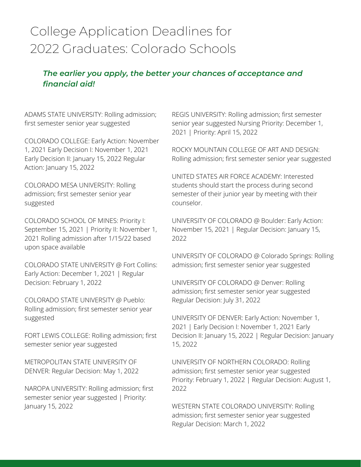#### College Application Deadlines for 2022 Graduates: Colorado Schools

#### *The earlier you apply, the better your chances of acceptance and financial aid!*

ADAMS STATE UNIVERSITY: Rolling admission; first semester senior year suggested

COLORADO COLLEGE: Early Action: November 1, 2021 Early Decision I: November 1, 2021 Early Decision II: January 15, 2022 Regular Action: January 15, 2022

COLORADO MESA UNIVERSITY: Rolling admission; first semester senior year suggested

COLORADO SCHOOL OF MINES: Priority I: September 15, 2021 | Priority II: November 1, 2021 Rolling admission after 1/15/22 based upon space available

COLORADO STATE UNIVERSITY @ Fort Collins: Early Action: December 1, 2021 | Regular Decision: February 1, 2022

COLORADO STATE UNIVERSITY @ Pueblo: Rolling admission; first semester senior year suggested

FORT LEWIS COLLEGE: Rolling admission; first semester senior year suggested

METROPOLITAN STATE UNIVERSITY OF DENVER: Regular Decision: May 1, 2022

NAROPA UNIVERSITY: Rolling admission; first semester senior year suggested | Priority: January 15, 2022

REGIS UNIVERSITY: Rolling admission; first semester senior year suggested Nursing Priority: December 1, 2021 | Priority: April 15, 2022

ROCKY MOUNTAIN COLLEGE OF ART AND DESIGN: Rolling admission; first semester senior year suggested

UNITED STATES AIR FORCE ACADEMY: Interested students should start the process during second semester of their junior year by meeting with their counselor.

UNIVERSITY OF COLORADO @ Boulder: Early Action: November 15, 2021 | Regular Decision: January 15, 2022

UNIVERSITY OF COLORADO @ Colorado Springs: Rolling admission; first semester senior year suggested

UNIVERSITY OF COLORADO @ Denver: Rolling admission; first semester senior year suggested Regular Decision: July 31, 2022

UNIVERSITY OF DENVER: Early Action: November 1, 2021 | Early Decision I: November 1, 2021 Early Decision II: January 15, 2022 | Regular Decision: January 15, 2022

UNIVERSITY OF NORTHERN COLORADO: Rolling admission; first semester senior year suggested Priority: February 1, 2022 | Regular Decision: August 1, 2022

WESTERN STATE COLORADO UNIVERSITY: Rolling admission; first semester senior year suggested Regular Decision: March 1, 2022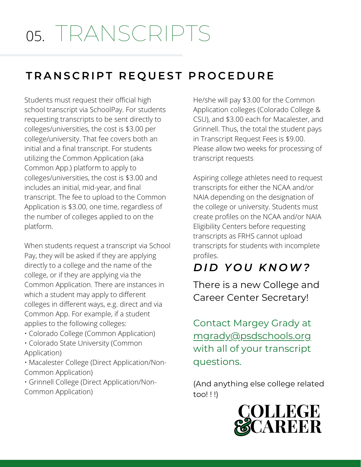# 05. TRANSCRIPTS

#### TRANSCRIPT REQUEST PROCEDURE

Students must request their official high school transcript via SchoolPay. For students requesting transcripts to be sent directly to colleges/universities, the cost is \$3.00 per college/university. That fee covers both an initial and a final transcript. For students utilizing the Common Application (aka Common App.) platform to apply to colleges/universities, the cost is \$3.00 and includes an initial, mid-year, and final transcript. The fee to upload to the Common Application is \$3.00, one time, regardless of the number of colleges applied to on the platform.

When students request a transcript via School Pay, they will be asked if they are applying directly to a college and the name of the college, or if they are applying via the Common Application. There are instances in which a student may apply to different colleges in different ways, e.g. direct and via Common App. For example, if a student applies to the following colleges:

- Colorado College (Common Application)
- Colorado State University (Common Application)

• Macalester College (Direct Application/Non-Common Application)

• Grinnell College (Direct Application/Non-Common Application)

He/she will pay \$3.00 for the Common Application colleges (Colorado College & CSU), and \$3.00 each for Macalester, and Grinnell. Thus, the total the student pays in Transcript Request Fees is \$9.00. Please allow two weeks for processing of transcript requests

Aspiring college athletes need to request transcripts for either the NCAA and/or NAIA depending on the designation of the college or university. Students must create profiles on the NCAA and/or NAIA Eligibility Centers before requesting transcripts as FRHS cannot upload transcripts for students with incomplete profiles.

#### *D I D Y O U K N OW?*

There is a new College and Career Center Secretary!

Contact Margey Grady at [mgrady@psdschools.org](mailto:mgrady@psdschools.org) with all of your transcript questions.

(And anything else college related too! ! !)

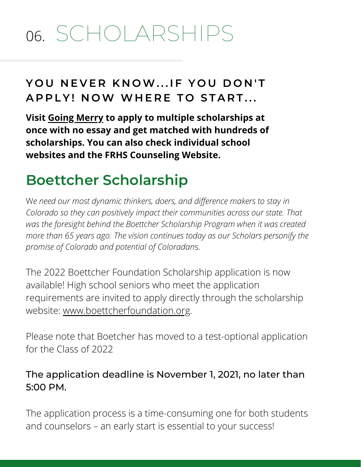# 06. SCHOLARSHIPS

#### **Y O U N E V E R K N OW. . . I F Y O U D O N ' T A P P L Y ! N OW WH E R E T O S T A R T . . .**

**Visit Going [Merry](https://app.goingmerry.com/c/sarahs-nmm3ab) to apply to multiple scholarships at once with no essay and get matched with hundreds of scholarships. You can also check individual school websites and the FRHS Counseling Website.**

## **Boettcher Scholarship**

W*e need our most dynamic thinkers, doers, and difference makers to stay in Colorado so they can positively impact their communities across our state. That was the foresight behind the Boettcher Scholarship Program when it was created more than 65 years ago. The vision continues today as our Scholars personify the promise of Colorado and potential of Coloradan*s.

The 2022 Boettcher Foundation Scholarship application is now available! High school seniors who meet the application requirements are invited to apply directly through the scholarship website: [www.boettcherfoundation.org](http://www.boettcherfoundation.org/).

Please note that Boetcher has moved to a test-optional application for the Class of 2022

#### The application deadline is November 1, 2021, no later than 5:00 PM.

The application process is a time-consuming one for both students and counselors – an early start is essential to your success!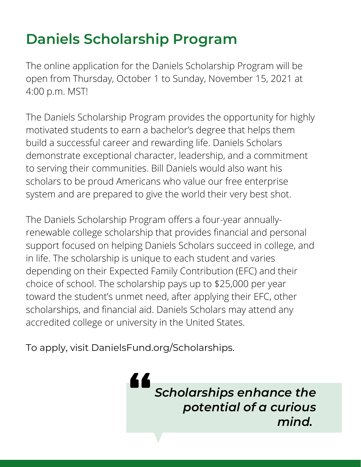# **Daniels Scholarship Program**

The online application for the Daniels Scholarship Program will be open from Thursday, October 1 to Sunday, November 15, 2021 at 4:00 p.m. MST!

The Daniels Scholarship Program provides the opportunity for highly motivated students to earn a bachelor's degree that helps them build a successful career and rewarding life. Daniels Scholars demonstrate exceptional character, leadership, and a commitment to serving their communities. Bill Daniels would also want his scholars to be proud Americans who value our free enterprise system and are prepared to give the world their very best shot.

The Daniels Scholarship Program offers a four-year annuallyrenewable college scholarship that provides financial and personal support focused on helping Daniels Scholars succeed in college, and in life. The scholarship is unique to each student and varies depending on their Expected Family Contribution (EFC) and their choice of school. The scholarship pays up to \$25,000 per year toward the student's unmet need, after applying their EFC, other scholarships, and financial aid. Daniels Scholars may attend any accredited college or university in the United States.

Tund.org/Sch To apply, visit DanielsFund.org/Scholarships.

*Scholarships enhance the potential of a curious mind.*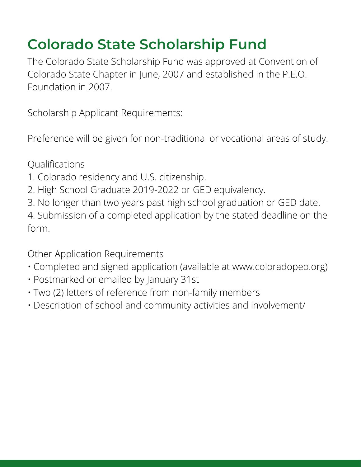## **Colorado State Scholarship Fund**

The Colorado State Scholarship Fund was approved at Convention of Colorado State Chapter in June, 2007 and established in the P.E.O. Foundation in 2007.

Scholarship Applicant Requirements:

Preference will be given for non-traditional or vocational areas of study.

Qualifications

- 1. Colorado residency and U.S. citizenship.
- 2. High School Graduate 2019-2022 or GED equivalency.
- 3. No longer than two years past high school graduation or GED date.

4. Submission of a completed application by the stated deadline on the form.

Other Application Requirements

- Completed and signed application (available at www.coloradopeo.org)
- Postmarked or emailed by January 31st
- Two (2) letters of reference from non-family members
- Description of school and community activities and involvement/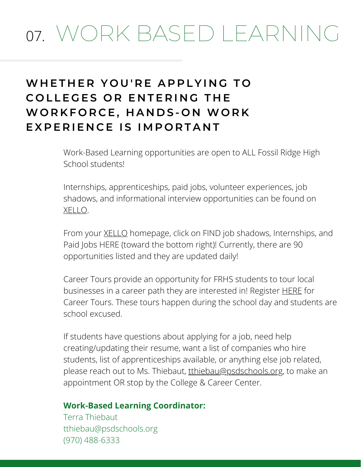# 07. WORK BASED LEARNING

#### **WH E T H E R Y O U ' R E A P P L Y I N G T O**  $C$  **OLLEGES OR ENTERING THE WO R K F O R C E , H A N D S - O N WO R K**  $E$  **XPERIENCE IS IMPORTANT**

Work-Based Learning opportunities are open to ALL Fossil Ridge High School students!

Internships, apprenticeships, paid jobs, volunteer experiences, job shadows, and informational interview opportunities can be found on [XELLO.](https://nam12.safelinks.protection.outlook.com/?url=https%3A%2F%2Fsites.google.com%2Fpsdschools.org%2Fxelloinpsd%2Fhome&data=04%7C01%7Cmgrady%40psdschools.org%7C8487248564174b509c1b08d97e016210%7C0d6d846ceadd4b6cb03ef15cd4b7e9cf%7C0%7C0%7C637679366670620639%7CUnknown%7CTWFpbGZsb3d8eyJWIjoiMC4wLjAwMDAiLCJQIjoiV2luMzIiLCJBTiI6Ik1haWwiLCJXVCI6Mn0%3D%7C1000&sdata=%2FW7I2aUOPy63sD5d4xKdIR5AHY4ainQIvsJigDIz1Yo%3D&reserved=0)

From your [XELLO](https://nam12.safelinks.protection.outlook.com/?url=https%3A%2F%2Fsites.google.com%2Fpsdschools.org%2Fxelloinpsd%2Fhome&data=04%7C01%7Cmgrady%40psdschools.org%7C8487248564174b509c1b08d97e016210%7C0d6d846ceadd4b6cb03ef15cd4b7e9cf%7C0%7C0%7C637679366670620639%7CUnknown%7CTWFpbGZsb3d8eyJWIjoiMC4wLjAwMDAiLCJQIjoiV2luMzIiLCJBTiI6Ik1haWwiLCJXVCI6Mn0%3D%7C1000&sdata=%2FW7I2aUOPy63sD5d4xKdIR5AHY4ainQIvsJigDIz1Yo%3D&reserved=0) homepage, click on FIND job shadows, Internships, and Paid Jobs HERE (toward the bottom right)! Currently, there are 90 opportunities listed and they are updated daily!

Career Tours provide an opportunity for FRHS students to tour local businesses in a career path they are interested in! [Register](https://nam12.safelinks.protection.outlook.com/?url=https%3A%2F%2Fdocs.google.com%2Fforms%2Fd%2F1mDMz_Vx_5AY_uIAg67nPeJHGEFr1UdkOb-_Ty9g1Exc%2Fedit&data=04%7C01%7Cmgrady%40psdschools.org%7C8487248564174b509c1b08d97e016210%7C0d6d846ceadd4b6cb03ef15cd4b7e9cf%7C0%7C0%7C637679366670630632%7CUnknown%7CTWFpbGZsb3d8eyJWIjoiMC4wLjAwMDAiLCJQIjoiV2luMzIiLCJBTiI6Ik1haWwiLCJXVCI6Mn0%3D%7C1000&sdata=Mvwn2JyclVDtG4ALah0QZ1HPjFD5CmRybYhzbNizhLA%3D&reserved=0) **[HERE](https://nam12.safelinks.protection.outlook.com/?url=https%3A%2F%2Fdocs.google.com%2Fforms%2Fd%2F1mDMz_Vx_5AY_uIAg67nPeJHGEFr1UdkOb-_Ty9g1Exc%2Fedit&data=04%7C01%7Cmgrady%40psdschools.org%7C8487248564174b509c1b08d97e016210%7C0d6d846ceadd4b6cb03ef15cd4b7e9cf%7C0%7C0%7C637679366670630632%7CUnknown%7CTWFpbGZsb3d8eyJWIjoiMC4wLjAwMDAiLCJQIjoiV2luMzIiLCJBTiI6Ik1haWwiLCJXVCI6Mn0%3D%7C1000&sdata=Mvwn2JyclVDtG4ALah0QZ1HPjFD5CmRybYhzbNizhLA%3D&reserved=0)** for Career Tours. These tours happen during the school day and students are school excused.

If students have questions about applying for a job, need help creating/updating their resume, want a list of companies who hire students, list of apprenticeships available, or anything else job related, please reach out to Ms. Thiebaut, [tthiebau@psdschools.org,](mailto:tthiebau@psdschools.org) to make an appointment OR stop by the College & Career Center.

#### **Work-Based Learning Coordinator:**

Terra Thiebaut [tthiebau@psdschools.org](mailto:tthiebau@psdschools.org) (970) 488-6333